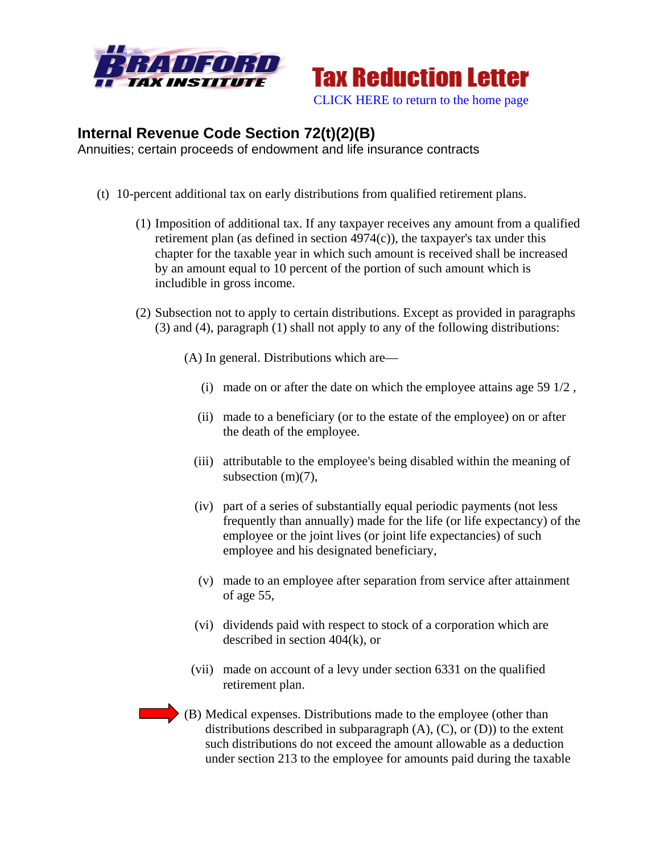



## **Internal Revenue Code Section 72(t)(2)(B)**

Annuities; certain proceeds of endowment and life insurance contracts

- (t) 10-percent additional tax on early distributions from qualified retirement plans.
	- (1) Imposition of additional tax. If any taxpayer receives any amount from a qualified retirement plan (as defined in section  $4974(c)$ ), the taxpayer's tax under this chapter for the taxable year in which such amount is received shall be increased by an amount equal to 10 percent of the portion of such amount which is includible in gross income.
	- (2) Subsection not to apply to certain distributions. Except as provided in paragraphs (3) and (4), paragraph (1) shall not apply to any of the following distributions:

(A) In general. Distributions which are—

- (i) made on or after the date on which the employee attains age 59 1/2 ,
- (ii) made to a beneficiary (or to the estate of the employee) on or after the death of the employee.
- (iii) attributable to the employee's being disabled within the meaning of subsection (m)(7),
- (iv) part of a series of substantially equal periodic payments (not less frequently than annually) made for the life (or life expectancy) of the employee or the joint lives (or joint life expectancies) of such employee and his designated beneficiary,
- (v) made to an employee after separation from service after attainment of age 55,
- (vi) dividends paid with respect to stock of a corporation which are described in section 404(k), or
- (vii) made on account of a levy under section 6331 on the qualified retirement plan.
- (B) Medical expenses. Distributions made to the employee (other than distributions described in subparagraph  $(A)$ ,  $(C)$ , or  $(D)$ ) to the extent such distributions do not exceed the amount allowable as a deduction under section 213 to the employee for amounts paid during the taxable